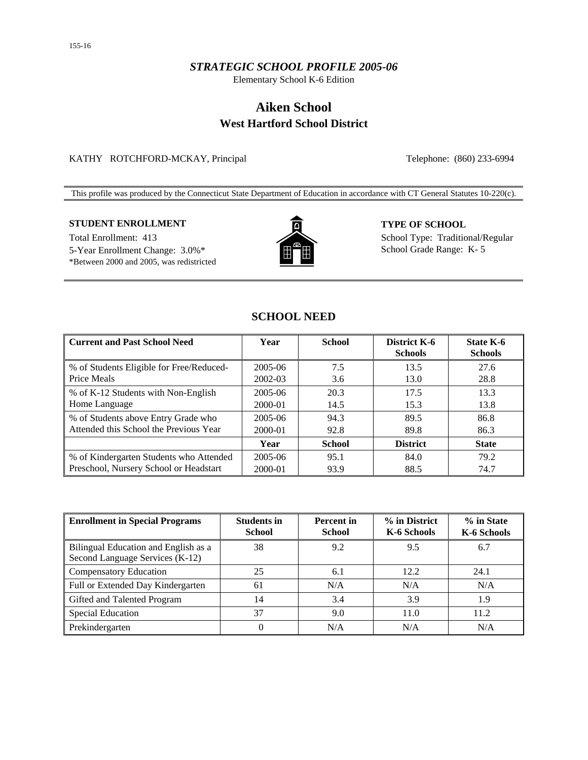## *STRATEGIC SCHOOL PROFILE 2005-06*

Elementary School K-6 Edition

# **Aiken School West Hartford School District**

## KATHY ROTCHFORD-MCKAY, Principal Telephone: (860) 233-6994

This profile was produced by the Connecticut State Department of Education in accordance with CT General Statutes 10-220(c).

## **STUDENT ENROLLMENT TYPE OF SCHOOL**

Total Enrollment: 413 School Type: Traditional/Regular 5-Year Enrollment Change: 3.0%\* THE School Grade Range: K-5 \*Between 2000 and 2005, was redistricted



## **SCHOOL NEED**

| <b>Current and Past School Need</b>      | Year    | <b>School</b> | District K-6<br><b>Schools</b> | <b>State K-6</b><br><b>Schools</b> |
|------------------------------------------|---------|---------------|--------------------------------|------------------------------------|
| % of Students Eligible for Free/Reduced- | 2005-06 | 7.5           | 13.5                           | 27.6                               |
| Price Meals                              | 2002-03 | 3.6           | 13.0                           | 28.8                               |
| % of K-12 Students with Non-English      | 2005-06 | 20.3          | 17.5                           | 13.3                               |
| Home Language                            | 2000-01 | 14.5          | 15.3                           | 13.8                               |
| % of Students above Entry Grade who      | 2005-06 | 94.3          | 89.5                           | 86.8                               |
| Attended this School the Previous Year   | 2000-01 | 92.8          | 89.8                           | 86.3                               |
|                                          | Year    | <b>School</b> | <b>District</b>                | <b>State</b>                       |
| % of Kindergarten Students who Attended  | 2005-06 | 95.1          | 84.0                           | 79.2                               |
| Preschool, Nursery School or Headstart   | 2000-01 | 93.9          | 88.5                           | 74.7                               |

| <b>Enrollment in Special Programs</b>                                   | <b>Students in</b><br><b>School</b> | <b>Percent</b> in<br><b>School</b> | % in District<br>K-6 Schools | % in State<br>K-6 Schools |
|-------------------------------------------------------------------------|-------------------------------------|------------------------------------|------------------------------|---------------------------|
| Bilingual Education and English as a<br>Second Language Services (K-12) | 38                                  | 9.2                                | 9.5                          | 6.7                       |
| <b>Compensatory Education</b>                                           | 25                                  | 6.1                                | 12.2                         | 24.1                      |
| Full or Extended Day Kindergarten                                       | 61                                  | N/A                                | N/A                          | N/A                       |
| Gifted and Talented Program                                             | 14                                  | 3.4                                | 3.9                          | 1.9                       |
| <b>Special Education</b>                                                | 37                                  | 9.0                                | 11.0                         | 11.2                      |
| Prekindergarten                                                         | $\Omega$                            | N/A                                | N/A                          | N/A                       |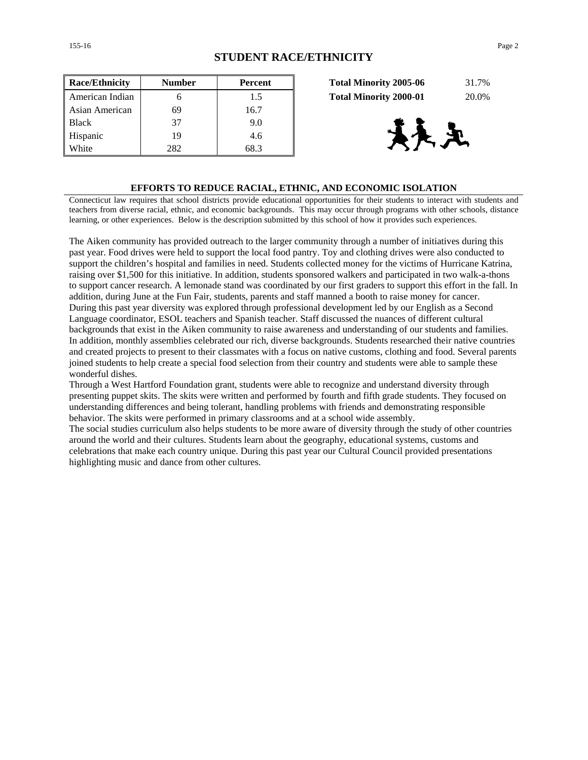| <b>Race/Ethnicity</b> | <b>Number</b> | <b>Percent</b> | 31.7%<br><b>Total Minority 2005-06</b> |
|-----------------------|---------------|----------------|----------------------------------------|
| American Indian       | h             | 1.5            | 20.0%<br><b>Total Minority 2000-01</b> |
| Asian American        | 69            | 16.7           |                                        |
| <b>Black</b>          | 37            | 9.0            |                                        |
| Hispanic              | 19            | 4.6            | /大 里                                   |
| White                 | 282           | 68.3           |                                        |

| <b>Total Minority 2005-06</b> | 31.7% |
|-------------------------------|-------|
| <b>Total Minority 2000-01</b> | 20.0% |



#### **EFFORTS TO REDUCE RACIAL, ETHNIC, AND ECONOMIC ISOLATION**

Connecticut law requires that school districts provide educational opportunities for their students to interact with students and teachers from diverse racial, ethnic, and economic backgrounds. This may occur through programs with other schools, distance learning, or other experiences. Below is the description submitted by this school of how it provides such experiences.

The Aiken community has provided outreach to the larger community through a number of initiatives during this past year. Food drives were held to support the local food pantry. Toy and clothing drives were also conducted to support the children's hospital and families in need. Students collected money for the victims of Hurricane Katrina, raising over \$1,500 for this initiative. In addition, students sponsored walkers and participated in two walk-a-thons to support cancer research. A lemonade stand was coordinated by our first graders to support this effort in the fall. In addition, during June at the Fun Fair, students, parents and staff manned a booth to raise money for cancer. During this past year diversity was explored through professional development led by our English as a Second Language coordinator, ESOL teachers and Spanish teacher. Staff discussed the nuances of different cultural backgrounds that exist in the Aiken community to raise awareness and understanding of our students and families. In addition, monthly assemblies celebrated our rich, diverse backgrounds. Students researched their native countries and created projects to present to their classmates with a focus on native customs, clothing and food. Several parents joined students to help create a special food selection from their country and students were able to sample these wonderful dishes.

Through a West Hartford Foundation grant, students were able to recognize and understand diversity through presenting puppet skits. The skits were written and performed by fourth and fifth grade students. They focused on understanding differences and being tolerant, handling problems with friends and demonstrating responsible behavior. The skits were performed in primary classrooms and at a school wide assembly.

The social studies curriculum also helps students to be more aware of diversity through the study of other countries around the world and their cultures. Students learn about the geography, educational systems, customs and celebrations that make each country unique. During this past year our Cultural Council provided presentations highlighting music and dance from other cultures.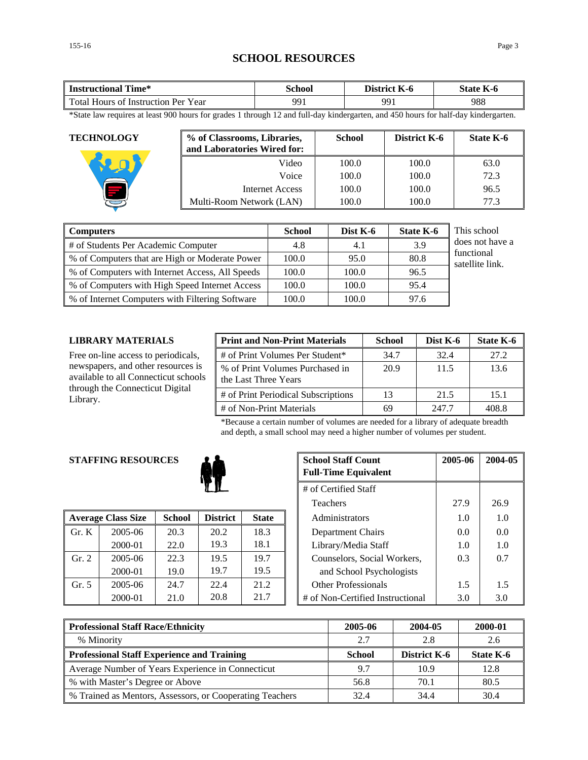## **SCHOOL RESOURCES**

| fime*<br><b>Instructional</b>               | School | <b>District</b><br>K-0 | $\mathbf{r}$<br>State  <br>K-0 |
|---------------------------------------------|--------|------------------------|--------------------------------|
| Total Hours of<br>Year<br>: Instruction Per | 991    | QQ                     | 988                            |

\*State law requires at least 900 hours for grades 1 through 12 and full-day kindergarten, and 450 hours for half-day kindergarten.

| <b>TECHNOLOGY</b> | % of Classrooms, Libraries,<br>and Laboratories Wired for: | <b>School</b> | District K-6 | State K-6 |
|-------------------|------------------------------------------------------------|---------------|--------------|-----------|
|                   | Video                                                      | 100.0         | 100.0        | 63.0      |
|                   | Voice                                                      | 100.0         | 100.0        | 72.3      |
|                   | Internet Access                                            | 100.0         | 100.0        | 96.5      |
|                   | Multi-Room Network (LAN)                                   | 100.0         | 100.0        | 77.3      |

| <b>Computers</b>                                | <b>School</b> | Dist K-6 | <b>State K-6</b> | This school                   |
|-------------------------------------------------|---------------|----------|------------------|-------------------------------|
| # of Students Per Academic Computer             | 4.8           | 4.1      | 3.9              | does not have a               |
| % of Computers that are High or Moderate Power  | 100.0         | 95.0     | 80.8             | functional<br>satellite link. |
| % of Computers with Internet Access, All Speeds | 100.0         | 100.0    | 96.5             |                               |
| % of Computers with High Speed Internet Access  | 100.0         | 100.0    | 95.4             |                               |
| % of Internet Computers with Filtering Software | 100.0         | 100.0    | 97.6             |                               |

### **LIBRARY MATERIALS**

Free on-line access to periodicals, newspapers, and other resources is available to all Connecticut schools through the Connecticut Digital Library.

| <b>Print and Non-Print Materials</b>                    | <b>School</b> | Dist K-6 | State K-6 |
|---------------------------------------------------------|---------------|----------|-----------|
| # of Print Volumes Per Student*                         | 34.7          | 32.4     | 27.2      |
| % of Print Volumes Purchased in<br>the Last Three Years | 20.9          | 11.5     | 13.6      |
| # of Print Periodical Subscriptions                     | 13            | 21.5     | 15.1      |
| # of Non-Print Materials                                | 69            | 247.7    | 408.8     |

\*Because a certain number of volumes are needed for a library of adequate breadth and depth, a small school may need a higher number of volumes per student.

## **STAFFING RESOURCES**



|       | <b>Average Class Size</b> | <b>School</b> | <b>District</b> | <b>State</b> | Administrators |                                  | 1.0 | 1.0 |
|-------|---------------------------|---------------|-----------------|--------------|----------------|----------------------------------|-----|-----|
| Gr. K | $2005 - 06$               | 20.3          | 20.2            | 18.3         |                | Department Chairs                | 0.0 | 0.0 |
|       | 2000-01                   | 22.0          | 19.3            | 18.1         |                | Library/Media Staff              | 1.0 | 1.0 |
| Gr. 2 | 2005-06                   | 22.3          | 19.5            | 19.7         |                | Counselors, Social Workers,      | 0.3 | 0.7 |
|       | 2000-01                   | 19.0          | 19.7            | 19.5         |                | and School Psychologists         |     |     |
| Gr. 5 | $2005 - 06$               | 24.7          | 22.4            | 21.2         |                | <b>Other Professionals</b>       | 1.5 | 1.5 |
|       | 2000-01                   | 21.0          | 20.8            | 21.7         |                | # of Non-Certified Instructional | 3.0 | 3.0 |

| <b>G RESOURCES</b>   |               | <b>School Staff Count</b><br><b>Full-Time Equivalent</b> | 2005-06      | 2004-05 |                                  |      |      |
|----------------------|---------------|----------------------------------------------------------|--------------|---------|----------------------------------|------|------|
| # of Certified Staff |               |                                                          |              |         |                                  |      |      |
|                      |               |                                                          |              |         | <b>Teachers</b>                  | 27.9 | 26.9 |
| 'lass Size           | <b>School</b> | <b>District</b>                                          | <b>State</b> |         | Administrators                   | 1.0  | 1.0  |
| 2005-06              | 20.3          | 20.2                                                     | 18.3         |         | Department Chairs                | 0.0  | 0.0  |
| 2000-01              | 22.0          | 19.3                                                     | 18.1         |         | Library/Media Staff              | 1.0  | 1.0  |
| 2005-06              | 22.3          | 19.5                                                     | 19.7         |         | Counselors, Social Workers,      | 0.3  | 0.7  |
| 2000-01              | 19.0          | 19.7                                                     | 19.5         |         | and School Psychologists         |      |      |
| 2005-06              | 24.7          | 22.4                                                     | 21.2         |         | <b>Other Professionals</b>       | 1.5  | 1.5  |
| 2000-01              | 21.0          | 20.8                                                     | 21.7         |         | # of Non-Certified Instructional | 3.0  | 3.0  |

| <b>Professional Staff Race/Ethnicity</b>                 | 2005-06       | 2004-05             | 2000-01   |
|----------------------------------------------------------|---------------|---------------------|-----------|
| % Minority                                               | 2.7           | 2.8                 | 2.6       |
| <b>Professional Staff Experience and Training</b>        | <b>School</b> | <b>District K-6</b> | State K-6 |
| Average Number of Years Experience in Connecticut        | 9.7           | 10.9                | 12.8      |
| % with Master's Degree or Above                          | 56.8          | 70.1                | 80.5      |
| % Trained as Mentors, Assessors, or Cooperating Teachers | 32.4          | 34.4                | 30.4      |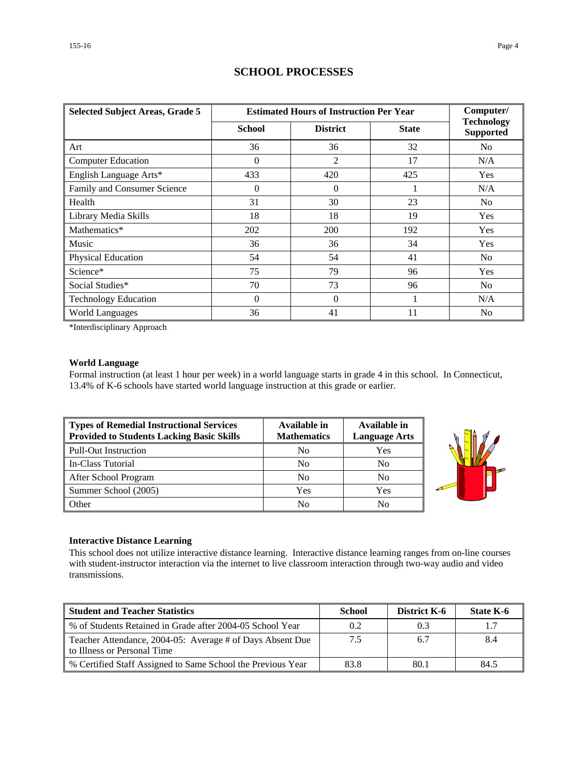| <b>Selected Subject Areas, Grade 5</b> |               | <b>Estimated Hours of Instruction Per Year</b> | Computer/    |                                       |
|----------------------------------------|---------------|------------------------------------------------|--------------|---------------------------------------|
|                                        | <b>School</b> | <b>District</b>                                | <b>State</b> | <b>Technology</b><br><b>Supported</b> |
| Art                                    | 36            | 36                                             | 32           | N <sub>0</sub>                        |
| <b>Computer Education</b>              | $\Omega$      | $\overline{2}$                                 | 17           | N/A                                   |
| English Language Arts*                 | 433           | 420                                            | 425          | Yes                                   |
| Family and Consumer Science            | $\Omega$      | $\Omega$                                       |              | N/A                                   |
| Health                                 | 31            | 30                                             | 23           | N <sub>0</sub>                        |
| Library Media Skills                   | 18            | 18                                             | 19           | <b>Yes</b>                            |
| Mathematics*                           | 202           | 200                                            | 192          | Yes                                   |
| Music                                  | 36            | 36                                             | 34           | Yes                                   |
| Physical Education                     | 54            | 54                                             | 41           | N <sub>0</sub>                        |
| Science*                               | 75            | 79                                             | 96           | Yes                                   |
| Social Studies*                        | 70            | 73                                             | 96           | No.                                   |
| <b>Technology Education</b>            | $\Omega$      | $\Omega$                                       |              | N/A                                   |
| <b>World Languages</b>                 | 36            | 41                                             | 11           | N <sub>0</sub>                        |

## **SCHOOL PROCESSES**

\*Interdisciplinary Approach

## **World Language**

Formal instruction (at least 1 hour per week) in a world language starts in grade 4 in this school. In Connecticut, 13.4% of K-6 schools have started world language instruction at this grade or earlier.

| Types of Remedial Instructional Services<br><b>Provided to Students Lacking Basic Skills</b> | Available in<br><b>Mathematics</b> | Available in<br><b>Language Arts</b> |
|----------------------------------------------------------------------------------------------|------------------------------------|--------------------------------------|
| Pull-Out Instruction                                                                         | No                                 | Yes                                  |
| In-Class Tutorial                                                                            | No                                 | No                                   |
| After School Program                                                                         | N <sub>0</sub>                     | N <sub>0</sub>                       |
| Summer School (2005)                                                                         | Yes                                | Yes                                  |
| <b>Other</b>                                                                                 | N <sub>0</sub>                     | No                                   |



#### **Interactive Distance Learning**

This school does not utilize interactive distance learning. Interactive distance learning ranges from on-line courses with student-instructor interaction via the internet to live classroom interaction through two-way audio and video transmissions.

| <b>Student and Teacher Statistics</b>                                                    | <b>School</b> | <b>District K-6</b> | State K-6 |
|------------------------------------------------------------------------------------------|---------------|---------------------|-----------|
| ↓% of Students Retained in Grade after 2004-05 School Year                               | 0.2           | 0.3                 |           |
| Teacher Attendance, 2004-05: Average # of Days Absent Due<br>to Illness or Personal Time | 7.5           | 6.7                 | 8.4       |
| % Certified Staff Assigned to Same School the Previous Year                              | 83.8          | 80.1                | 84.5      |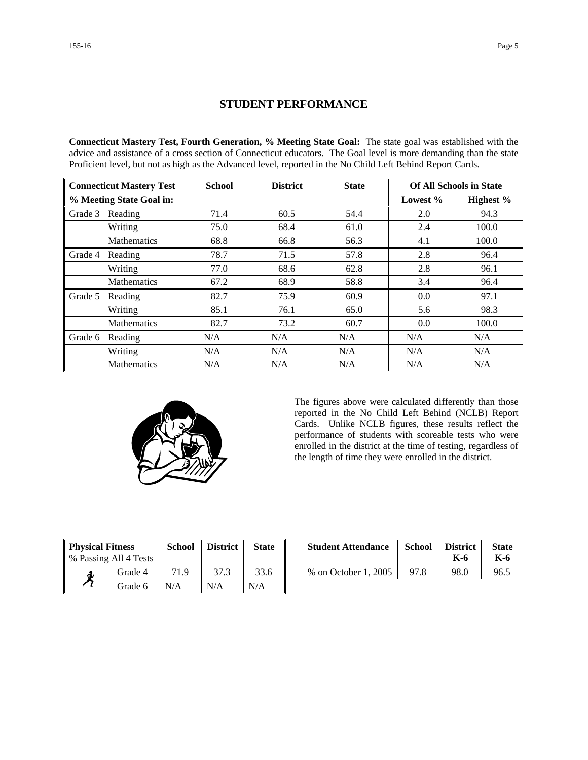## **STUDENT PERFORMANCE**

**Connecticut Mastery Test, Fourth Generation, % Meeting State Goal:** The state goal was established with the advice and assistance of a cross section of Connecticut educators. The Goal level is more demanding than the state Proficient level, but not as high as the Advanced level, reported in the No Child Left Behind Report Cards.

|                          | <b>Connecticut Mastery Test</b> | <b>School</b> | <b>District</b> | <b>State</b> | <b>Of All Schools in State</b> |           |
|--------------------------|---------------------------------|---------------|-----------------|--------------|--------------------------------|-----------|
| % Meeting State Goal in: |                                 |               |                 |              | Lowest $%$                     | Highest % |
| Grade 3                  | Reading                         | 71.4          | 60.5            | 54.4         | 2.0                            | 94.3      |
|                          | Writing                         | 75.0          | 68.4            | 61.0         | 2.4                            | 100.0     |
|                          | <b>Mathematics</b>              | 68.8          | 66.8            | 56.3         | 4.1                            | 100.0     |
| Grade 4                  | Reading                         | 78.7          | 71.5            | 57.8         | 2.8                            | 96.4      |
|                          | Writing                         | 77.0          | 68.6            | 62.8         | 2.8                            | 96.1      |
|                          | Mathematics                     | 67.2          | 68.9            | 58.8         | 3.4                            | 96.4      |
| Grade 5                  | Reading                         | 82.7          | 75.9            | 60.9         | 0.0                            | 97.1      |
|                          | Writing                         | 85.1          | 76.1            | 65.0         | 5.6                            | 98.3      |
|                          | <b>Mathematics</b>              | 82.7          | 73.2            | 60.7         | 0.0                            | 100.0     |
| Grade 6                  | Reading                         | N/A           | N/A             | N/A          | N/A                            | N/A       |
|                          | Writing                         | N/A           | N/A             | N/A          | N/A                            | N/A       |
|                          | <b>Mathematics</b>              | N/A           | N/A             | N/A          | N/A                            | N/A       |



The figures above were calculated differently than those reported in the No Child Left Behind (NCLB) Report Cards. Unlike NCLB figures, these results reflect the performance of students with scoreable tests who were enrolled in the district at the time of testing, regardless of the length of time they were enrolled in the district.

| <b>Physical Fitness</b> |                       | <b>School</b> | <b>District</b> | <b>State</b> |
|-------------------------|-----------------------|---------------|-----------------|--------------|
|                         | % Passing All 4 Tests |               |                 |              |
|                         | Grade 4               | 71.9          | 37.3            | 33.6         |
|                         | Grade 6               | N/A           | N/A             | N/A          |

| ness<br>.11 4 Tests | School | <b>District</b> | <b>State</b> | <b>Student Attendance</b> | <b>School</b> | <b>District</b><br>K-6 | <b>State</b><br>K-6 |
|---------------------|--------|-----------------|--------------|---------------------------|---------------|------------------------|---------------------|
| Grade 4             | 71 Q   | 37.3            | 33.6         | % on October 1, 2005      | 97.8          | 98.0                   | 96.5                |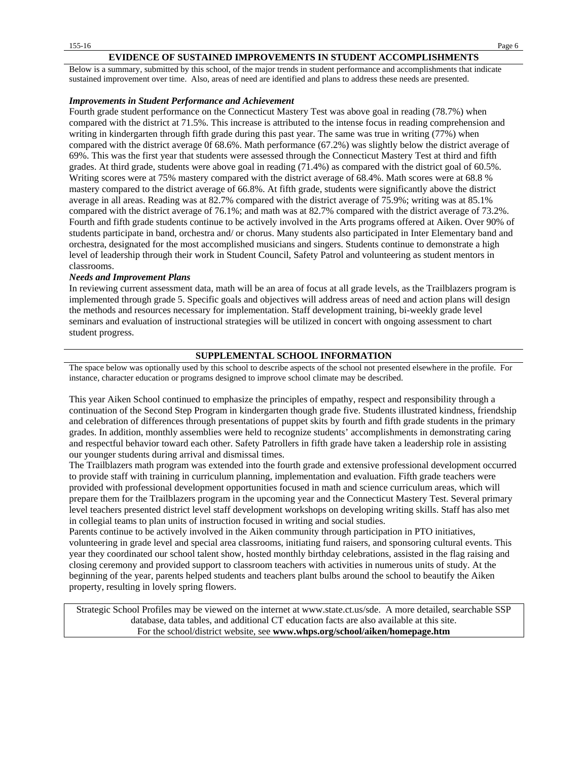#### **EVIDENCE OF SUSTAINED IMPROVEMENTS IN STUDENT ACCOMPLISHMENTS**

Below is a summary, submitted by this school, of the major trends in student performance and accomplishments that indicate sustained improvement over time. Also, areas of need are identified and plans to address these needs are presented.

#### *Improvements in Student Performance and Achievement*

Fourth grade student performance on the Connecticut Mastery Test was above goal in reading (78.7%) when compared with the district at 71.5%. This increase is attributed to the intense focus in reading comprehension and writing in kindergarten through fifth grade during this past year. The same was true in writing (77%) when compared with the district average 0f 68.6%. Math performance (67.2%) was slightly below the district average of 69%. This was the first year that students were assessed through the Connecticut Mastery Test at third and fifth grades. At third grade, students were above goal in reading (71.4%) as compared with the district goal of 60.5%. Writing scores were at 75% mastery compared with the district average of 68.4%. Math scores were at 68.8 % mastery compared to the district average of 66.8%. At fifth grade, students were significantly above the district average in all areas. Reading was at 82.7% compared with the district average of 75.9%; writing was at 85.1% compared with the district average of 76.1%; and math was at 82.7% compared with the district average of 73.2%. Fourth and fifth grade students continue to be actively involved in the Arts programs offered at Aiken. Over 90% of students participate in band, orchestra and/ or chorus. Many students also participated in Inter Elementary band and orchestra, designated for the most accomplished musicians and singers. Students continue to demonstrate a high level of leadership through their work in Student Council, Safety Patrol and volunteering as student mentors in classrooms.

#### *Needs and Improvement Plans*

In reviewing current assessment data, math will be an area of focus at all grade levels, as the Trailblazers program is implemented through grade 5. Specific goals and objectives will address areas of need and action plans will design the methods and resources necessary for implementation. Staff development training, bi-weekly grade level seminars and evaluation of instructional strategies will be utilized in concert with ongoing assessment to chart student progress.

#### **SUPPLEMENTAL SCHOOL INFORMATION**

The space below was optionally used by this school to describe aspects of the school not presented elsewhere in the profile. For instance, character education or programs designed to improve school climate may be described.

This year Aiken School continued to emphasize the principles of empathy, respect and responsibility through a continuation of the Second Step Program in kindergarten though grade five. Students illustrated kindness, friendship and celebration of differences through presentations of puppet skits by fourth and fifth grade students in the primary grades. In addition, monthly assemblies were held to recognize students' accomplishments in demonstrating caring and respectful behavior toward each other. Safety Patrollers in fifth grade have taken a leadership role in assisting our younger students during arrival and dismissal times.

The Trailblazers math program was extended into the fourth grade and extensive professional development occurred to provide staff with training in curriculum planning, implementation and evaluation. Fifth grade teachers were provided with professional development opportunities focused in math and science curriculum areas, which will prepare them for the Trailblazers program in the upcoming year and the Connecticut Mastery Test. Several primary level teachers presented district level staff development workshops on developing writing skills. Staff has also met in collegial teams to plan units of instruction focused in writing and social studies.

Parents continue to be actively involved in the Aiken community through participation in PTO initiatives, volunteering in grade level and special area classrooms, initiating fund raisers, and sponsoring cultural events. This year they coordinated our school talent show, hosted monthly birthday celebrations, assisted in the flag raising and closing ceremony and provided support to classroom teachers with activities in numerous units of study. At the beginning of the year, parents helped students and teachers plant bulbs around the school to beautify the Aiken property, resulting in lovely spring flowers.

Strategic School Profiles may be viewed on the internet at www.state.ct.us/sde. A more detailed, searchable SSP database, data tables, and additional CT education facts are also available at this site. For the school/district website, see **www.whps.org/school/aiken/homepage.htm**